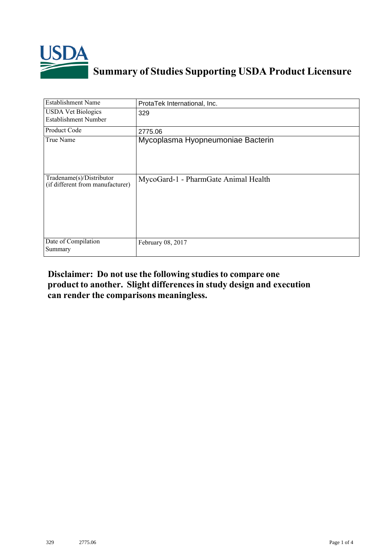

## **Summary of Studies Supporting USDA Product Licensure**

| <b>Establishment Name</b>                                    | ProtaTek International, Inc.         |  |  |
|--------------------------------------------------------------|--------------------------------------|--|--|
| <b>USDA Vet Biologics</b><br><b>Establishment Number</b>     | 329                                  |  |  |
| Product Code                                                 | 2775.06                              |  |  |
| True Name                                                    | Mycoplasma Hyopneumoniae Bacterin    |  |  |
| Tradename(s)/Distributor<br>(if different from manufacturer) | MycoGard-1 - PharmGate Animal Health |  |  |
| Date of Compilation<br>Summary                               | February 08, 2017                    |  |  |

## **Disclaimer: Do not use the following studiesto compare one product to another. Slight differencesin study design and execution can render the comparisons meaningless.**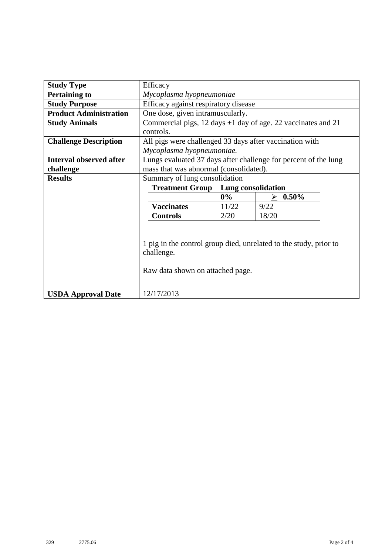| <b>Study Type</b>              | Efficacy                                                                                                            |                    |               |  |  |  |
|--------------------------------|---------------------------------------------------------------------------------------------------------------------|--------------------|---------------|--|--|--|
| <b>Pertaining to</b>           | Mycoplasma hyopneumoniae                                                                                            |                    |               |  |  |  |
| <b>Study Purpose</b>           | Efficacy against respiratory disease                                                                                |                    |               |  |  |  |
| <b>Product Administration</b>  | One dose, given intramuscularly.                                                                                    |                    |               |  |  |  |
| <b>Study Animals</b>           | Commercial pigs, 12 days $\pm 1$ day of age. 22 vaccinates and 21                                                   |                    |               |  |  |  |
|                                | controls.                                                                                                           |                    |               |  |  |  |
| <b>Challenge Description</b>   | All pigs were challenged 33 days after vaccination with                                                             |                    |               |  |  |  |
|                                | Mycoplasma hyopneumoniae.                                                                                           |                    |               |  |  |  |
| <b>Interval observed after</b> | Lungs evaluated 37 days after challenge for percent of the lung                                                     |                    |               |  |  |  |
| challenge                      | mass that was abnormal (consolidated).                                                                              |                    |               |  |  |  |
| <b>Results</b>                 | Summary of lung consolidation                                                                                       |                    |               |  |  |  |
|                                | <b>Treatment Group</b>                                                                                              | Lung consolidation |               |  |  |  |
|                                |                                                                                                                     | $0\%$              | $0.50\%$<br>↘ |  |  |  |
|                                | <b>Vaccinates</b>                                                                                                   | 11/22              | 9/22          |  |  |  |
|                                | <b>Controls</b>                                                                                                     | 2/20               | 18/20         |  |  |  |
|                                | 1 pig in the control group died, unrelated to the study, prior to<br>challenge.<br>Raw data shown on attached page. |                    |               |  |  |  |
| <b>USDA Approval Date</b>      | 12/17/2013                                                                                                          |                    |               |  |  |  |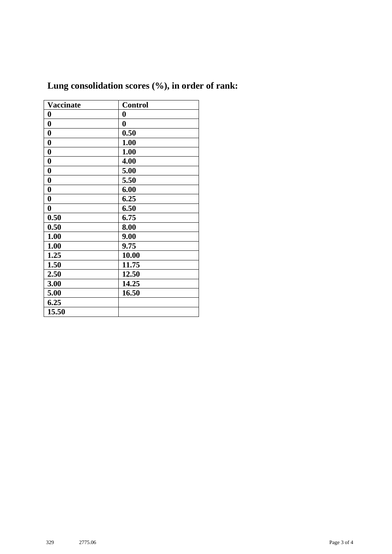| <b>Vaccinate</b> | <b>Control</b>   |
|------------------|------------------|
| $\bf{0}$         | $\boldsymbol{0}$ |
| $\boldsymbol{0}$ | $\bf{0}$         |
| $\bf{0}$         | 0.50             |
| $\bf{0}$         | 1.00             |
| $\boldsymbol{0}$ | 1.00             |
| $\boldsymbol{0}$ | 4.00             |
| $\boldsymbol{0}$ | 5.00             |
| $\bf{0}$         | 5.50             |
| $\boldsymbol{0}$ | 6.00             |
| $\boldsymbol{0}$ | 6.25             |
| $\boldsymbol{0}$ | 6.50             |
| 0.50             | 6.75             |
| 0.50             | 8.00             |
| 1.00             | 9.00             |
| 1.00             | 9.75             |
| 1.25             | 10.00            |
| 1.50             | 11.75            |
| 2.50             | 12.50            |
| 3.00             | 14.25            |
| 5.00             | 16.50            |
| 6.25             |                  |
| 15.50            |                  |

## **Lung consolidation scores (%), in order of rank:**